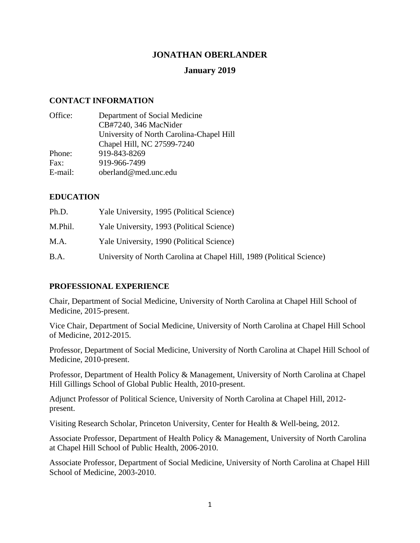## **JONATHAN OBERLANDER**

## **January 2019**

## **CONTACT INFORMATION**

| Office: | Department of Social Medicine            |
|---------|------------------------------------------|
|         | CB#7240, 346 MacNider                    |
|         | University of North Carolina-Chapel Hill |
|         | Chapel Hill, NC 27599-7240               |
| Phone:  | 919-843-8269                             |
| Fax:    | 919-966-7499                             |
| E-mail: | oberland@med.unc.edu                     |
|         |                                          |

## **EDUCATION**

| Ph.D.   | Yale University, 1995 (Political Science)                             |
|---------|-----------------------------------------------------------------------|
| M.Phil. | Yale University, 1993 (Political Science)                             |
| M.A.    | Yale University, 1990 (Political Science)                             |
| B.A.    | University of North Carolina at Chapel Hill, 1989 (Political Science) |

### **PROFESSIONAL EXPERIENCE**

Chair, Department of Social Medicine, University of North Carolina at Chapel Hill School of Medicine, 2015-present.

Vice Chair, Department of Social Medicine, University of North Carolina at Chapel Hill School of Medicine, 2012-2015.

Professor, Department of Social Medicine, University of North Carolina at Chapel Hill School of Medicine, 2010-present.

Professor, Department of Health Policy & Management, University of North Carolina at Chapel Hill Gillings School of Global Public Health, 2010-present.

Adjunct Professor of Political Science, University of North Carolina at Chapel Hill, 2012 present.

Visiting Research Scholar, Princeton University, Center for Health & Well-being, 2012.

Associate Professor, Department of Health Policy & Management, University of North Carolina at Chapel Hill School of Public Health, 2006-2010.

Associate Professor, Department of Social Medicine, University of North Carolina at Chapel Hill School of Medicine, 2003-2010.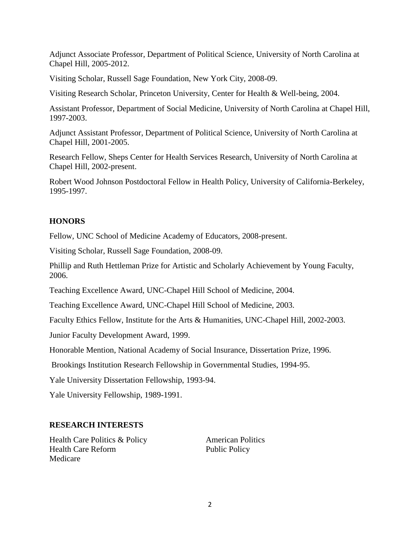Adjunct Associate Professor, Department of Political Science, University of North Carolina at Chapel Hill, 2005-2012.

Visiting Scholar, Russell Sage Foundation, New York City, 2008-09.

Visiting Research Scholar, Princeton University, Center for Health & Well-being, 2004.

Assistant Professor, Department of Social Medicine, University of North Carolina at Chapel Hill, 1997-2003.

Adjunct Assistant Professor, Department of Political Science, University of North Carolina at Chapel Hill, 2001-2005.

Research Fellow, Sheps Center for Health Services Research, University of North Carolina at Chapel Hill, 2002-present.

Robert Wood Johnson Postdoctoral Fellow in Health Policy, University of California-Berkeley, 1995-1997.

## **HONORS**

Fellow, UNC School of Medicine Academy of Educators, 2008-present.

Visiting Scholar, Russell Sage Foundation, 2008-09.

Phillip and Ruth Hettleman Prize for Artistic and Scholarly Achievement by Young Faculty, 2006.

Teaching Excellence Award, UNC-Chapel Hill School of Medicine, 2004.

Teaching Excellence Award, UNC-Chapel Hill School of Medicine, 2003.

Faculty Ethics Fellow, Institute for the Arts & Humanities, UNC-Chapel Hill, 2002-2003.

Junior Faculty Development Award, 1999.

Honorable Mention, National Academy of Social Insurance, Dissertation Prize, 1996.

Brookings Institution Research Fellowship in Governmental Studies, 1994-95.

Yale University Dissertation Fellowship, 1993-94.

Yale University Fellowship, 1989-1991.

## **RESEARCH INTERESTS**

Health Care Politics & Policy American Politics Health Care Reform Public Policy Medicare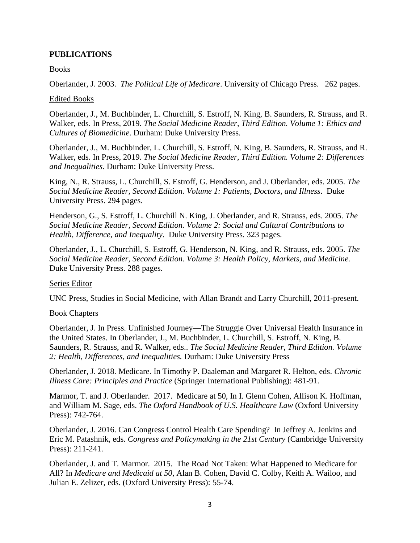### **PUBLICATIONS**

Books

Oberlander, J. 2003. *The Political Life of Medicare*. University of Chicago Press. 262 pages.

### Edited Books

Oberlander, J., M. Buchbinder, L. Churchill, S. Estroff, N. King, B. Saunders, R. Strauss, and R. Walker, eds. In Press, 2019. *The Social Medicine Reader, Third Edition. Volume 1: Ethics and Cultures of Biomedicine*. Durham: Duke University Press.

Oberlander, J., M. Buchbinder, L. Churchill, S. Estroff, N. King, B. Saunders, R. Strauss, and R. Walker, eds. In Press, 2019. *The Social Medicine Reader, Third Edition. Volume 2: Differences and Inequalities.* Durham: Duke University Press.

King, N., R. Strauss, L. Churchill, S. Estroff, G. Henderson, and J. Oberlander, eds. 2005. *The Social Medicine Reader, Second Edition. Volume 1: Patients, Doctors, and Illness*. Duke University Press. 294 pages.

Henderson, G., S. Estroff, L. Churchill N. King, J. Oberlander, and R. Strauss, eds. 2005. *The Social Medicine Reader, Second Edition. Volume 2: Social and Cultural Contributions to Health, Difference, and Inequality*. Duke University Press. 323 pages.

Oberlander, J., L. Churchill, S. Estroff, G. Henderson, N. King, and R. Strauss, eds. 2005. *The Social Medicine Reader, Second Edition. Volume 3: Health Policy, Markets, and Medicine.* Duke University Press. 288 pages.

### Series Editor

UNC Press, Studies in Social Medicine, with Allan Brandt and Larry Churchill, 2011-present.

### Book Chapters

Oberlander, J. In Press. Unfinished Journey—The Struggle Over Universal Health Insurance in the United States. In Oberlander, J., M. Buchbinder, L. Churchill, S. Estroff, N. King, B. Saunders, R. Strauss, and R. Walker, eds.. *The Social Medicine Reader, Third Edition. Volume 2: Health, Differences, and Inequalities.* Durham: Duke University Press

Oberlander, J. 2018. Medicare. In Timothy P. Daaleman and Margaret R. Helton, eds. *Chronic Illness Care: Principles and Practice* (Springer International Publishing): 481-91.

Marmor, T. and J. Oberlander. 2017. Medicare at 50, In I. Glenn Cohen, Allison K. Hoffman, and William M. Sage, eds. *The Oxford Handbook of U.S. Healthcare Law* (Oxford University Press): 742-764.

Oberlander, J. 2016. Can Congress Control Health Care Spending? In Jeffrey A. Jenkins and Eric M. Patashnik, eds. *Congress and Policymaking in the 21st Century* (Cambridge University Press): 211-241.

Oberlander, J. and T. Marmor. 2015. The Road Not Taken: What Happened to Medicare for All? In *Medicare and Medicaid at 50*, Alan B. Cohen, David C. Colby, Keith A. Wailoo, and Julian E. Zelizer, eds. (Oxford University Press): 55-74.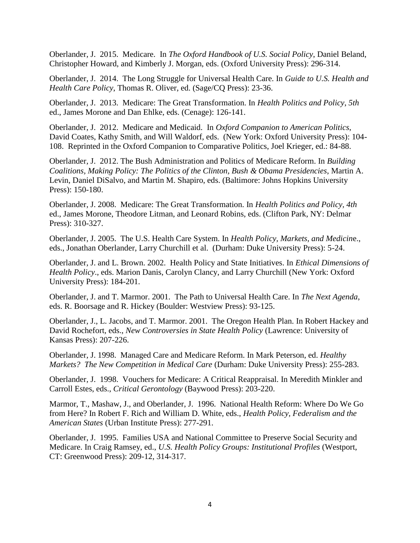Oberlander, J. 2015. Medicare. In *The Oxford Handbook of U.S. Social Policy*, Daniel Beland, Christopher Howard, and Kimberly J. Morgan, eds. (Oxford University Press): 296-314.

Oberlander, J. 2014. The Long Struggle for Universal Health Care. In *Guide to U.S. Health and Health Care Policy*, Thomas R. Oliver, ed. (Sage/CQ Press): 23-36.

Oberlander, J. 2013. Medicare: The Great Transformation. In *Health Politics and Policy*, *5th* ed., James Morone and Dan Ehlke, eds. (Cenage): 126-141.

Oberlander, J. 2012. Medicare and Medicaid. In *Oxford Companion to American Politics*, David Coates, Kathy Smith, and Will Waldorf, eds. (New York: Oxford University Press): 104- 108. Reprinted in the Oxford Companion to Comparative Politics, Joel Krieger, ed.: 84-88.

Oberlander, J. 2012. The Bush Administration and Politics of Medicare Reform. In *Building Coalitions, Making Policy: The Politics of the Clinton, Bush & Obama Presidencies*, Martin A. Levin, Daniel DiSalvo, and Martin M. Shapiro, eds. (Baltimore: Johns Hopkins University Press): 150-180.

Oberlander, J. 2008. Medicare: The Great Transformation. In *Health Politics and Policy, 4th* ed., James Morone, Theodore Litman, and Leonard Robins, eds. (Clifton Park, NY: Delmar Press): 310-327.

Oberlander, J. 2005. The U.S. Health Care System. In *Health Policy, Markets, and Medicin*e., eds., Jonathan Oberlander, Larry Churchill et al. (Durham: Duke University Press): 5-24.

Oberlander, J. and L. Brown. 2002. Health Policy and State Initiatives. In *Ethical Dimensions of Health Policy*., eds. Marion Danis, Carolyn Clancy, and Larry Churchill (New York: Oxford University Press): 184-201.

Oberlander, J. and T. Marmor. 2001. The Path to Universal Health Care. In *The Next Agenda*, eds. R. Boorsage and R. Hickey (Boulder: Westview Press): 93-125.

Oberlander, J., L. Jacobs, and T. Marmor. 2001. The Oregon Health Plan. In Robert Hackey and David Rochefort, eds., *New Controversies in State Health Policy* (Lawrence: University of Kansas Press): 207-226.

Oberlander, J. 1998. Managed Care and Medicare Reform. In Mark Peterson, ed. *Healthy Markets? The New Competition in Medical Care* (Durham: Duke University Press): 255-283.

Oberlander, J. 1998. Vouchers for Medicare: A Critical Reappraisal. In Meredith Minkler and Carroll Estes, eds., *Critical Gerontology* (Baywood Press): 203-220.

Marmor, T., Mashaw, J., and Oberlander, J. 1996. National Health Reform: Where Do We Go from Here? In Robert F. Rich and William D. White, eds., *Health Policy, Federalism and the American States* (Urban Institute Press): 277-291.

Oberlander, J. 1995. Families USA and National Committee to Preserve Social Security and Medicare. In Craig Ramsey, ed., *U.S. Health Policy Groups: Institutional Profiles* (Westport, CT: Greenwood Press): 209-12, 314-317.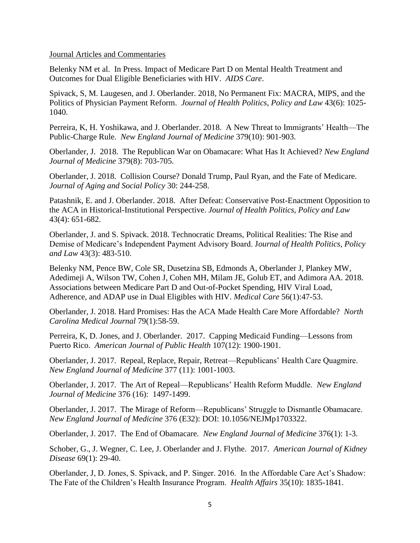#### Journal Articles and Commentaries

Belenky NM et al. In Press. Impact of Medicare Part D on Mental Health Treatment and Outcomes for Dual Eligible Beneficiaries with HIV. *AIDS Care*.

Spivack, S, M. Laugesen, and J. Oberlander. 2018, No Permanent Fix: MACRA, MIPS, and the Politics of Physician Payment Reform. *Journal of Health Politics, Policy and Law* 43(6): 1025- 1040.

Perreira, K, H. Yoshikawa, and J. Oberlander. 2018. A New Threat to Immigrants' Health—The Public-Charge Rule. *New England Journal of Medicine* 379(10): 901-903.

Oberlander, J. 2018. The Republican War on Obamacare: What Has It Achieved? *New England Journal of Medicine* 379(8): 703-705.

Oberlander, J. 2018. Collision Course? Donald Trump, Paul Ryan, and the Fate of Medicare. *Journal of Aging and Social Policy* 30: 244-258.

Patashnik, E. and J. Oberlander. 2018. After Defeat: Conservative Post-Enactment Opposition to the ACA in Historical-Institutional Perspective. *Journal of Health Politics, Policy and Law* 43(4): 651-682.

Oberlander, J. and S. Spivack. 2018. Technocratic Dreams, Political Realities: The Rise and Demise of Medicare's Independent Payment Advisory Board. J*ournal of Health Politics, Policy and Law* 43(3): 483-510.

Belenky NM, Pence BW, Cole SR, Dusetzina SB, Edmonds A, Oberlander J, Plankey MW, Adedimeji A, Wilson TW, Cohen J, Cohen MH, Milam JE, Golub ET, and Adimora AA. 2018. Associations between Medicare Part D and Out-of-Pocket Spending, HIV Viral Load, Adherence, and ADAP use in Dual Eligibles with HIV. *Medical Care* 56(1):47-53.

Oberlander, J. 2018. Hard Promises: Has the ACA Made Health Care More Affordable? *North Carolina Medical Journal* 79(1):58-59.

Perreira, K, D. Jones, and J. Oberlander. 2017. Capping Medicaid Funding—Lessons from Puerto Rico. *American Journal of Public Health* 107(12): 1900-1901.

Oberlander, J. 2017. Repeal, Replace, Repair, Retreat—Republicans' Health Care Quagmire. *New England Journal of Medicine* 377 (11): 1001-1003.

Oberlander, J. 2017. The Art of Repeal—Republicans' Health Reform Muddle. *New England Journal of Medicine* 376 (16): 1497-1499.

Oberlander, J. 2017. The Mirage of Reform—Republicans' Struggle to Dismantle Obamacare. *New England Journal of Medicine* 376 (E32): DOI: 10.1056/NEJMp1703322.

Oberlander, J. 2017. The End of Obamacare. *New England Journal of Medicine* 376(1): 1-3.

Schober, G., J. Wegner, C. Lee, J. Oberlander and J. Flythe. 2017. *American Journal of Kidney Disease* 69(1): 29-40.

Oberlander, J, D. Jones, S. Spivack, and P. Singer. 2016. In the Affordable Care Act's Shadow: The Fate of the Children's Health Insurance Program. *Health Affairs* 35(10): 1835-1841.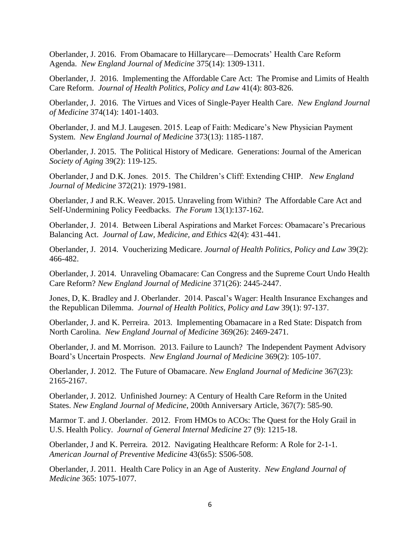Oberlander, J. 2016. From Obamacare to Hillarycare—Democrats' Health Care Reform Agenda. *New England Journal of Medicine* 375(14): 1309-1311.

Oberlander, J. 2016. Implementing the Affordable Care Act: The Promise and Limits of Health Care Reform. *Journal of Health Politics, Policy and Law* 41(4): 803-826.

Oberlander, J. 2016. The Virtues and Vices of Single-Payer Health Care. *New England Journal of Medicine* 374(14): 1401-1403.

Oberlander, J. and M.J. Laugesen. 2015. Leap of Faith: Medicare's New Physician Payment System. *New England Journal of Medicine* 373(13): 1185-1187.

Oberlander, J. 2015. The Political History of Medicare. Generations: Journal of the American *Society of Aging* 39(2): 119-125.

Oberlander, J and D.K. Jones. 2015. The Children's Cliff: Extending CHIP. *New England Journal of Medicine* 372(21): 1979-1981.

Oberlander, J and R.K. Weaver. 2015. Unraveling from Within? The Affordable Care Act and Self-Undermining Policy Feedbacks. *The Forum* 13(1):137-162.

Oberlander, J. 2014. Between Liberal Aspirations and Market Forces: Obamacare's Precarious Balancing Act. *Journal of Law, Medicine, and Ethics* 42(4): 431-441.

Oberlander, J. 2014. Voucherizing Medicare. *Journal of Health Politics, Policy and Law* 39(2): 466-482.

Oberlander, J. 2014. Unraveling Obamacare: Can Congress and the Supreme Court Undo Health Care Reform? *New England Journal of Medicine* 371(26): 2445-2447.

Jones, D, K. Bradley and J. Oberlander. 2014. Pascal's Wager: Health Insurance Exchanges and the Republican Dilemma. *Journal of Health Politics, Policy and Law* 39(1): 97-137.

Oberlander, J. and K. Perreira. 2013. Implementing Obamacare in a Red State: Dispatch from North Carolina. *New England Journal of Medicine* 369(26): 2469-2471.

Oberlander, J. and M. Morrison. 2013. Failure to Launch? The Independent Payment Advisory Board's Uncertain Prospects. *New England Journal of Medicine* 369(2): 105-107.

Oberlander, J. 2012. The Future of Obamacare. *New England Journal of Medicine* 367(23): 2165-2167.

Oberlander, J. 2012. Unfinished Journey: A Century of Health Care Reform in the United States. *New England Journal of Medicine*, 200th Anniversary Article, 367(7): 585-90.

Marmor T. and J. Oberlander. 2012. From HMOs to ACOs: The Quest for the Holy Grail in U.S. Health Policy. *Journal of General Internal Medicine* 27 (9): 1215-18.

Oberlander, J and K. Perreira. 2012. Navigating Healthcare Reform: A Role for 2-1-1. *American Journal of Preventive Medicine* 43(6s5): S506-508.

Oberlander, J. 2011. Health Care Policy in an Age of Austerity. *New England Journal of Medicine* 365: 1075-1077.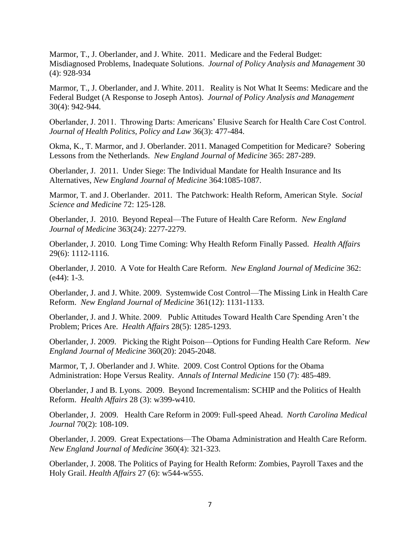Marmor, T., J. Oberlander, and J. White. 2011. Medicare and the Federal Budget: Misdiagnosed Problems, Inadequate Solutions. *Journal of Policy Analysis and Management* 30 (4): 928-934

Marmor, T., J. Oberlander, and J. White. 2011. Reality is Not What It Seems: Medicare and the Federal Budget (A Response to Joseph Antos). *Journal of Policy Analysis and Management* 30(4): 942-944.

Oberlander, J. 2011. Throwing Darts: Americans' Elusive Search for Health Care Cost Control. *Journal of Health Politics, Policy and Law* 36(3): 477-484.

Okma, K., T. Marmor, and J. Oberlander. 2011. Managed Competition for Medicare? Sobering Lessons from the Netherlands. *New England Journal of Medicine* 365: 287-289.

Oberlander, J. 2011. Under Siege: The Individual Mandate for Health Insurance and Its Alternatives, *New England Journal of Medicine* 364:1085-1087.

Marmor, T. and J. Oberlander. 2011. The Patchwork: Health Reform, American Style. *Social Science and Medicine* 72: 125-128.

Oberlander, J. 2010. Beyond Repeal—The Future of Health Care Reform. *New England Journal of Medicine* 363(24): 2277-2279.

Oberlander, J. 2010. Long Time Coming: Why Health Reform Finally Passed. *Health Affairs* 29(6): 1112-1116.

Oberlander, J. 2010. A Vote for Health Care Reform. *New England Journal of Medicine* 362: (e44): 1-3.

Oberlander, J. and J. White. 2009. Systemwide Cost Control—The Missing Link in Health Care Reform. *New England Journal of Medicine* 361(12): 1131-1133.

Oberlander, J. and J. White. 2009. Public Attitudes Toward Health Care Spending Aren't the Problem; Prices Are. *Health Affairs* 28(5): 1285-1293.

Oberlander, J. 2009. Picking the Right Poison—Options for Funding Health Care Reform. *New England Journal of Medicine* 360(20): 2045-2048.

Marmor, T, J. Oberlander and J. White. 2009. Cost Control Options for the Obama Administration: Hope Versus Reality. *Annals of Internal Medicine* 150 (7): 485-489.

Oberlander, J and B. Lyons. 2009. Beyond Incrementalism: SCHIP and the Politics of Health Reform. *Health Affairs* 28 (3): w399-w410.

Oberlander, J. 2009. Health Care Reform in 2009: Full-speed Ahead. *North Carolina Medical Journal* 70(2): 108-109.

Oberlander, J. 2009. Great Expectations—The Obama Administration and Health Care Reform. *New England Journal of Medicine* 360(4): 321-323.

Oberlander, J. 2008. The Politics of Paying for Health Reform: Zombies, Payroll Taxes and the Holy Grail. *Health Affairs* 27 (6): w544-w555.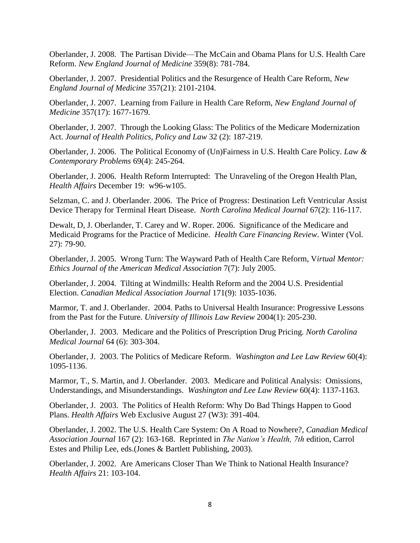Oberlander, J. 2008. The Partisan Divide—The McCain and Obama Plans for U.S. Health Care Reform. *New England Journal of Medicine* 359(8): 781-784.

Oberlander, J. 2007. Presidential Politics and the Resurgence of Health Care Reform, *New England Journal of Medicine* 357(21): 2101-2104.

Oberlander, J. 2007. Learning from Failure in Health Care Reform, *New England Journal of Medicine* 357(17): 1677-1679.

Oberlander, J. 2007. Through the Looking Glass: The Politics of the Medicare Modernization Act. *Journal of Health Politics, Policy and Law* 32 (2): 187-219.

Oberlander, J. 2006. The Political Economy of (Un)Fairness in U.S. Health Care Policy. *Law & Contemporary Problems* 69(4): 245-264.

Oberlander, J. 2006. Health Reform Interrupted: The Unraveling of the Oregon Health Plan, *Health Affairs* December 19: w96-w105.

Selzman, C. and J. Oberlander. 2006. The Price of Progress: Destination Left Ventricular Assist Device Therapy for Terminal Heart Disease. *North Carolina Medical Journal* 67(2): 116-117.

Dewalt, D, J. Oberlander, T. Carey and W. Roper. 2006. Significance of the Medicare and Medicaid Programs for the Practice of Medicine. *Health Care Financing Review*. Winter (Vol. 27): 79-90.

Oberlander, J. 2005. Wrong Turn: The Wayward Path of Health Care Reform, V*irtual Mentor: Ethics Journal of the American Medical Association* 7(7): July 2005.

Oberlander, J. 2004. Tilting at Windmills: Health Reform and the 2004 U.S. Presidential Election. *Canadian Medical Association Journal* 171(9): 1035-1036.

Marmor, T. and J. Oberlander. 2004. Paths to Universal Health Insurance: Progressive Lessons from the Past for the Future. *University of Illinois Law Review* 2004(1): 205-230.

Oberlander, J. 2003. Medicare and the Politics of Prescription Drug Pricing. *North Carolina Medical Journal* 64 (6): 303-304.

Oberlander, J. 2003. The Politics of Medicare Reform. *Washington and Lee Law Review* 60(4): 1095-1136.

Marmor, T., S. Martin, and J. Oberlander. 2003. Medicare and Political Analysis: Omissions, Understandings, and Misunderstandings. *Washington and Lee Law Review* 60(4): 1137-1163.

Oberlander, J. 2003. The Politics of Health Reform: Why Do Bad Things Happen to Good Plans. *Health Affairs* Web Exclusive August 27 (W3): 391-404.

Oberlander, J. 2002. The U.S. Health Care System: On A Road to Nowhere?, *Canadian Medical Association Journal* 167 (2): 163-168. Reprinted in *The Nation's Health, 7th* edition, Carrol Estes and Philip Lee, eds.(Jones & Bartlett Publishing, 2003).

Oberlander, J. 2002. Are Americans Closer Than We Think to National Health Insurance? *Health Affairs* 21: 103-104.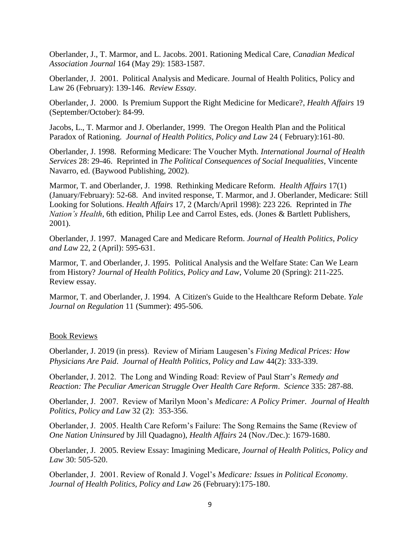Oberlander, J., T. Marmor, and L. Jacobs. 2001. Rationing Medical Care, *Canadian Medical Association Journal* 164 (May 29): 1583-1587.

Oberlander, J. 2001. Political Analysis and Medicare. Journal of Health Politics, Policy and Law 26 (February): 139-146. *Review Essay*.

Oberlander, J. 2000. Is Premium Support the Right Medicine for Medicare?, *Health Affairs* 19 (September/October): 84-99.

Jacobs, L., T. Marmor and J. Oberlander, 1999. The Oregon Health Plan and the Political Paradox of Rationing. *Journal of Health Politics, Policy and Law* 24 ( February):161-80.

Oberlander, J. 1998. Reforming Medicare: The Voucher Myth. *International Journal of Health Services* 28: 29-46. Reprinted in *The Political Consequences of Social Inequalities*, Vincente Navarro, ed. (Baywood Publishing, 2002).

Marmor, T. and Oberlander, J. 1998. Rethinking Medicare Reform. *Health Affairs* 17(1) (January/February): 52-68. And invited response, T. Marmor, and J. Oberlander, Medicare: Still Looking for Solutions. *Health Affairs* 17, 2 (March/April 1998): 223 226. Reprinted in *The Nation's Health*, 6th edition, Philip Lee and Carrol Estes, eds. (Jones & Bartlett Publishers, 2001).

Oberlander, J. 1997. Managed Care and Medicare Reform. *Journal of Health Politics, Policy and Law* 22, 2 (April): 595-631.

Marmor, T. and Oberlander, J. 1995. Political Analysis and the Welfare State: Can We Learn from History? *Journal of Health Politics, Policy and Law*, Volume 20 (Spring): 211-225. Review essay.

Marmor, T. and Oberlander, J. 1994. A Citizen's Guide to the Healthcare Reform Debate. *Yale Journal on Regulation* 11 (Summer): 495-506.

#### Book Reviews

Oberlander, J. 2019 (in press). Review of Miriam Laugesen's *Fixing Medical Prices: How Physicians Are Paid*. *Journal of Health Politics, Policy and Law* 44(2): 333-339.

Oberlander, J. 2012. The Long and Winding Road: Review of Paul Starr's *Remedy and Reaction: The Peculiar American Struggle Over Health Care Reform*. *Science* 335: 287-88.

Oberlander, J. 2007. Review of Marilyn Moon's *Medicare: A Policy Primer*. *Journal of Health Politics, Policy and Law* 32 (2): 353-356.

Oberlander, J. 2005. Health Care Reform's Failure: The Song Remains the Same (Review of *One Nation Uninsured* by Jill Quadagno), *Health Affairs* 24 (Nov./Dec.): 1679-1680.

Oberlander, J. 2005. Review Essay: Imagining Medicare, *Journal of Health Politics, Policy and Law* 30: 505-520.

Oberlander, J. 2001. Review of Ronald J. Vogel's *Medicare: Issues in Political Economy*. *Journal of Health Politics, Policy and Law* 26 (February):175-180.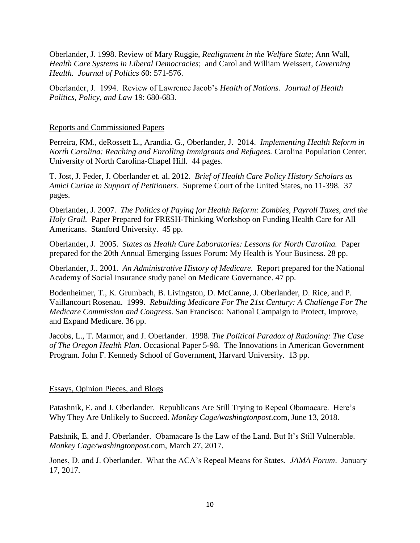Oberlander, J. 1998. Review of Mary Ruggie, *Realignment in the Welfare State*; Ann Wall, *Health Care Systems in Liberal Democracies*; and Carol and William Weissert, *Governing Health. Journal of Politics 6*0: 571-576.

Oberlander, J. 1994. Review of Lawrence Jacob's *Health of Nations. Journal of Health Politics, Policy, and Law* 19: 680-683.

#### Reports and Commissioned Papers

Perreira, KM., deRossett L., Arandia. G., Oberlander, J. 2014. *Implementing Health Reform in North Carolina: Reaching and Enrolling Immigrants and Refugees.* Carolina Population Center. University of North Carolina-Chapel Hill. 44 pages.

T. Jost, J. Feder, J. Oberlander et. al. 2012. *Brief of Health Care Policy History Scholars as Amici Curiae in Support of Petitioners*. Supreme Court of the United States, no 11-398. 37 pages.

Oberlander, J. 2007. *The Politics of Paying for Health Reform: Zombies, Payroll Taxes, and the Holy Grail.* Paper Prepared for FRESH-Thinking Workshop on Funding Health Care for All Americans. Stanford University. 45 pp.

Oberlander, J. 2005. *States as Health Care Laboratories: Lessons for North Carolina.* Paper prepared for the 20th Annual Emerging Issues Forum: My Health is Your Business. 28 pp.

Oberlander, J.. 2001. *An Administrative History of Medicare.* Report prepared for the National Academy of Social Insurance study panel on Medicare Governance. 47 pp.

Bodenheimer, T., K. Grumbach, B. Livingston, D. McCanne, J. Oberlander, D. Rice, and P. Vaillancourt Rosenau. 1999. *Rebuilding Medicare For The 21st Century: A Challenge For The Medicare Commission and Congress*. San Francisco: National Campaign to Protect, Improve, and Expand Medicare. 36 pp.

Jacobs, L., T. Marmor, and J. Oberlander. 1998. *The Political Paradox of Rationing: The Case of The Oregon Health Plan*. Occasional Paper 5-98. The Innovations in American Government Program. John F. Kennedy School of Government, Harvard University. 13 pp.

### Essays, Opinion Pieces, and Blogs

Patashnik, E. and J. Oberlander. Republicans Are Still Trying to Repeal Obamacare. Here's Why They Are Unlikely to Succeed. *Monkey Cage/washingtonpost*.com, June 13, 2018.

Patshnik, E. and J. Oberlander. Obamacare Is the Law of the Land. But It's Still Vulnerable. *Monkey Cage/washingtonpost*.com, March 27, 2017.

Jones, D. and J. Oberlander. What the ACA's Repeal Means for States. *JAMA Forum*. January 17, 2017.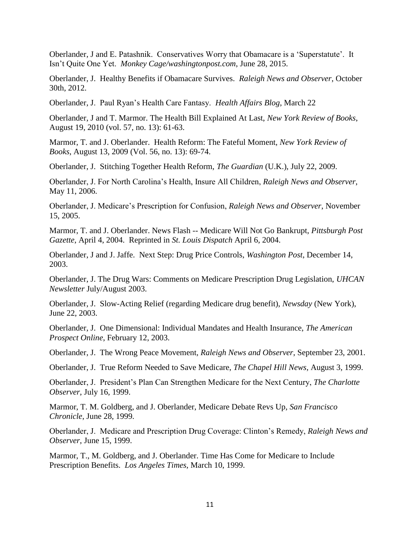Oberlander, J and E. Patashnik. Conservatives Worry that Obamacare is a 'Superstatute'. It Isn't Quite One Yet. *Monkey Cage/washingtonpost.com*, June 28, 2015.

Oberlander, J. Healthy Benefits if Obamacare Survives. *Raleigh News and Observer*, October 30th, 2012.

Oberlander, J. Paul Ryan's Health Care Fantasy. *Health Affairs Blog*, March 22

Oberlander, J and T. Marmor. The Health Bill Explained At Last, *New York Review of Books*, August 19, 2010 (vol. 57, no. 13): 61-63.

Marmor, T. and J. Oberlander. Health Reform: The Fateful Moment, *New York Review of Books*, August 13, 2009 (Vol. 56, no. 13): 69-74.

Oberlander, J. Stitching Together Health Reform, *The Guardian* (U.K.), July 22, 2009.

Oberlander, J. For North Carolina's Health, Insure All Children, *Raleigh News and Observer*, May 11, 2006.

Oberlander, J. Medicare's Prescription for Confusion, *Raleigh News and Observer*, November 15, 2005.

Marmor, T. and J. Oberlander. News Flash -- Medicare Will Not Go Bankrupt, *Pittsburgh Post Gazette*, April 4, 2004. Reprinted in *St. Louis Dispatch* April 6, 2004.

Oberlander, J and J. Jaffe. Next Step: Drug Price Controls, *Washington Post*, December 14, 2003.

Oberlander, J. The Drug Wars: Comments on Medicare Prescription Drug Legislation, *UHCAN Newsletter* July/August 2003.

Oberlander, J. Slow-Acting Relief (regarding Medicare drug benefit), *Newsday* (New York), June 22, 2003.

Oberlander, J. One Dimensional: Individual Mandates and Health Insurance, *The American Prospect Online*, February 12, 2003.

Oberlander, J. The Wrong Peace Movement, *Raleigh News and Observer*, September 23, 2001.

Oberlander, J. True Reform Needed to Save Medicare, *The Chapel Hill News*, August 3, 1999.

Oberlander, J. President's Plan Can Strengthen Medicare for the Next Century, *The Charlotte Observer*, July 16, 1999.

Marmor, T. M. Goldberg, and J. Oberlander, Medicare Debate Revs Up, *San Francisco Chronicle*, June 28, 1999.

Oberlander, J. Medicare and Prescription Drug Coverage: Clinton's Remedy, *Raleigh News and Observer*, June 15, 1999.

Marmor, T., M. Goldberg, and J. Oberlander. Time Has Come for Medicare to Include Prescription Benefits. *Los Angeles Times,* March 10, 1999.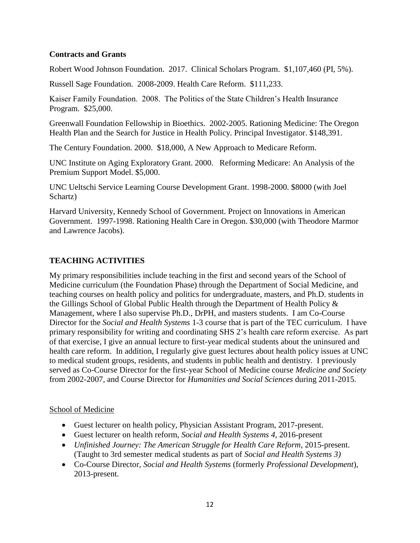## **Contracts and Grants**

Robert Wood Johnson Foundation. 2017. Clinical Scholars Program. \$1,107,460 (PI, 5%).

Russell Sage Foundation. 2008-2009. Health Care Reform. \$111,233.

Kaiser Family Foundation. 2008. The Politics of the State Children's Health Insurance Program. \$25,000.

Greenwall Foundation Fellowship in Bioethics. 2002-2005. Rationing Medicine: The Oregon Health Plan and the Search for Justice in Health Policy. Principal Investigator. \$148,391.

The Century Foundation. 2000. \$18,000, A New Approach to Medicare Reform.

UNC Institute on Aging Exploratory Grant. 2000. Reforming Medicare: An Analysis of the Premium Support Model. \$5,000.

UNC Ueltschi Service Learning Course Development Grant. 1998-2000. \$8000 (with Joel Schartz)

Harvard University, Kennedy School of Government. Project on Innovations in American Government. 1997-1998. Rationing Health Care in Oregon. \$30,000 (with Theodore Marmor and Lawrence Jacobs).

## **TEACHING ACTIVITIES**

My primary responsibilities include teaching in the first and second years of the School of Medicine curriculum (the Foundation Phase) through the Department of Social Medicine, and teaching courses on health policy and politics for undergraduate, masters, and Ph.D. students in the Gillings School of Global Public Health through the Department of Health Policy & Management, where I also supervise Ph.D., DrPH, and masters students. I am Co-Course Director for the *Social and Health Systems* 1-3 course that is part of the TEC curriculum. I have primary responsibility for writing and coordinating SHS 2's health care reform exercise. As part of that exercise, I give an annual lecture to first-year medical students about the uninsured and health care reform. In addition, I regularly give guest lectures about health policy issues at UNC to medical student groups, residents, and students in public health and dentistry. I previously served as Co-Course Director for the first-year School of Medicine course *Medicine and Society* from 2002-2007, and Course Director for *Humanities and Social Sciences* during 2011-2015.

### School of Medicine

- Guest lecturer on health policy, Physician Assistant Program, 2017-present.
- Guest lecturer on health reform, *Social and Health Systems 4*, 2016-present
- *Unfinished Journey: The American Struggle for Health Care Reform*, 2015-present. (Taught to 3rd semester medical students as part of *Social and Health Systems 3)*
- Co-Course Director, *Social and Health Systems* (formerly *Professional Development*), 2013-present.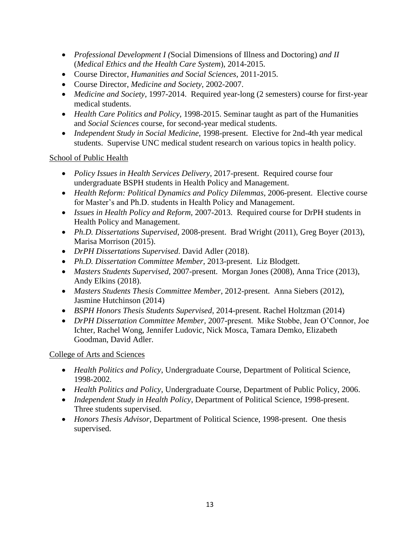- *Professional Development I (*Social Dimensions of Illness and Doctoring) *and II* (*Medical Ethics and the Health Care System*), 2014-2015.
- Course Director, *Humanities and Social Sciences*, 2011-2015.
- Course Director, *Medicine and Society*, 2002-2007.
- *Medicine and Society*, 1997-2014. Required year-long (2 semesters) course for first-year medical students.
- *Health Care Politics and Policy*, 1998-2015. Seminar taught as part of the Humanities and *Social Sciences* course, for second-year medical students.
- *Independent Study in Social Medicine*, 1998-present. Elective for 2nd-4th year medical students. Supervise UNC medical student research on various topics in health policy.

# School of Public Health

- *Policy Issues in Health Services Delivery*, 2017-present. Required course four undergraduate BSPH students in Health Policy and Management.
- *Health Reform: Political Dynamics and Policy Dilemmas*, 2006-present. Elective course for Master's and Ph.D. students in Health Policy and Management.
- *Issues in Health Policy and Reform,* 2007-2013. Required course for DrPH students in Health Policy and Management.
- *Ph.D. Dissertations Supervised*, 2008-present. Brad Wright (2011), Greg Boyer (2013), Marisa Morrison (2015).
- *DrPH Dissertations Supervised*. David Adler (2018).
- *Ph.D. Dissertation Committee Member*, 2013-present. Liz Blodgett.
- *Masters Students Supervised,* 2007-present. Morgan Jones (2008), Anna Trice (2013), Andy Elkins (2018).
- *Masters Students Thesis Committee Member*, 2012-present. Anna Siebers (2012), Jasmine Hutchinson (2014)
- *BSPH Honors Thesis Students Supervised*, 2014-present. Rachel Holtzman (2014)
- *DrPH Dissertation Committee Member,* 2007-present. Mike Stobbe, Jean O'Connor, Joe Ichter, Rachel Wong, Jennifer Ludovic, Nick Mosca, Tamara Demko, Elizabeth Goodman, David Adler.

# College of Arts and Sciences

- *Health Politics and Policy*, Undergraduate Course, Department of Political Science, 1998-2002.
- *Health Politics and Policy*, Undergraduate Course, Department of Public Policy, 2006.
- *Independent Study in Health Policy*, Department of Political Science, 1998-present. Three students supervised.
- *Honors Thesis Advisor*, Department of Political Science, 1998-present. One thesis supervised.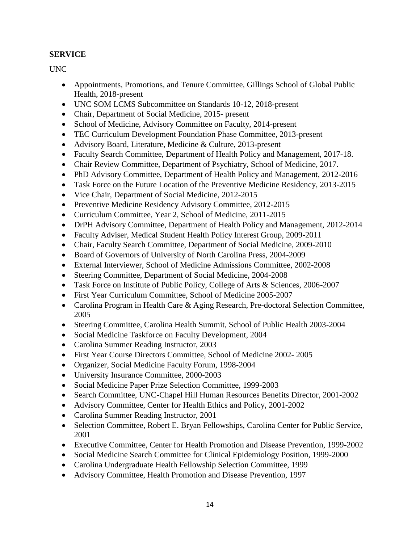# **SERVICE**

UNC

- Appointments, Promotions, and Tenure Committee, Gillings School of Global Public Health, 2018-present
- UNC SOM LCMS Subcommittee on Standards 10-12, 2018-present
- Chair, Department of Social Medicine, 2015- present
- School of Medicine, Advisory Committee on Faculty, 2014-present
- TEC Curriculum Development Foundation Phase Committee, 2013-present
- Advisory Board, Literature, Medicine & Culture, 2013-present
- Faculty Search Committee, Department of Health Policy and Management, 2017-18.
- Chair Review Committee, Department of Psychiatry, School of Medicine, 2017.
- PhD Advisory Committee, Department of Health Policy and Management, 2012-2016
- Task Force on the Future Location of the Preventive Medicine Residency, 2013-2015
- Vice Chair, Department of Social Medicine, 2012-2015
- Preventive Medicine Residency Advisory Committee, 2012-2015
- Curriculum Committee, Year 2, School of Medicine, 2011-2015
- DrPH Advisory Committee, Department of Health Policy and Management, 2012-2014
- Faculty Adviser, Medical Student Health Policy Interest Group, 2009-2011
- Chair, Faculty Search Committee, Department of Social Medicine, 2009-2010
- Board of Governors of University of North Carolina Press, 2004-2009
- External Interviewer, School of Medicine Admissions Committee, 2002-2008
- Steering Committee, Department of Social Medicine, 2004-2008
- Task Force on Institute of Public Policy, College of Arts & Sciences, 2006-2007
- First Year Curriculum Committee, School of Medicine 2005-2007
- Carolina Program in Health Care & Aging Research, Pre-doctoral Selection Committee, 2005
- Steering Committee, Carolina Health Summit, School of Public Health 2003-2004
- Social Medicine Taskforce on Faculty Development, 2004
- Carolina Summer Reading Instructor, 2003
- First Year Course Directors Committee, School of Medicine 2002- 2005
- Organizer, Social Medicine Faculty Forum, 1998-2004
- University Insurance Committee, 2000-2003
- Social Medicine Paper Prize Selection Committee, 1999-2003
- Search Committee, UNC-Chapel Hill Human Resources Benefits Director, 2001-2002
- Advisory Committee, Center for Health Ethics and Policy, 2001-2002
- Carolina Summer Reading Instructor, 2001
- Selection Committee, Robert E. Bryan Fellowships, Carolina Center for Public Service, 2001
- Executive Committee, Center for Health Promotion and Disease Prevention, 1999-2002
- Social Medicine Search Committee for Clinical Epidemiology Position, 1999-2000
- Carolina Undergraduate Health Fellowship Selection Committee, 1999
- Advisory Committee, Health Promotion and Disease Prevention, 1997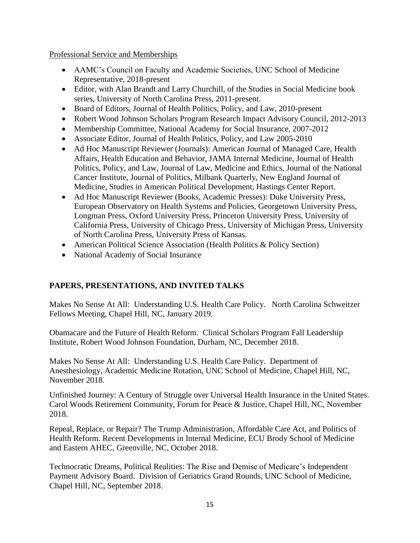Professional Service and Memberships

- AAMC's Council on Faculty and Academic Societies, UNC School of Medicine Representative, 2018-present
- Editor, with Alan Brandt and Larry Churchill, of the Studies in Social Medicine book series, University of North Carolina Press, 2011-present.
- Board of Editors, Journal of Health Politics, Policy, and Law, 2010-present
- Robert Wood Johnson Scholars Program Research Impact Advisory Council, 2012-2013
- Membership Committee, National Academy for Social Insurance, 2007-2012
- Associate Editor, Journal of Health Politics, Policy, and Law 2005-2010
- Ad Hoc Manuscript Reviewer (Journals): American Journal of Managed Care, Health Affairs, Health Education and Behavior, JAMA Internal Medicine, Journal of Health Politics, Policy, and Law, Journal of Law, Medicine and Ethics, Journal of the National Cancer Institute, Journal of Politics, Milbank Quarterly, New England Journal of Medicine, Studies in American Political Development, Hastings Center Report.
- Ad Hoc Manuscript Reviewer (Books, Academic Presses): Duke University Press, European Observatory on Health Systems and Policies, Georgetown University Press, Longman Press, Oxford University Press, Princeton University Press, University of California Press, University of Chicago Press, University of Michigan Press, University of North Carolina Press, University Press of Kansas.
- American Political Science Association (Health Politics & Policy Section)
- National Academy of Social Insurance

# **PAPERS, PRESENTATIONS, AND INVITED TALKS**

Makes No Sense At All: Understanding U.S. Health Care Policy. North Carolina Schweitzer Fellows Meeting, Chapel Hill, NC, January 2019.

Obamacare and the Future of Health Reform. Clinical Scholars Program Fall Leadership Institute, Robert Wood Johnson Foundation, Durham, NC, December 2018.

Makes No Sense At All: Understanding U.S. Health Care Policy. Department of Anesthesiology, Academic Medicine Rotation, UNC School of Medicine, Chapel Hill, NC, November 2018.

Unfinished Journey: A Century of Struggle over Universal Health Insurance in the United States. Carol Woods Retirement Community, Forum for Peace & Justice, Chapel Hill, NC, November 2018.

Repeal, Replace, or Repair? The Trump Administration, Affordable Care Act, and Politics of Health Reform. Recent Developments in Internal Medicine, ECU Brody School of Medicine and Eastern AHEC, Greenville, NC, October 2018.

Technocratic Dreams, Political Realities: The Rise and Demise of Medicare's Independent Payment Advisory Board. Division of Geriatrics Grand Rounds, UNC School of Medicine, Chapel Hill, NC, September 2018.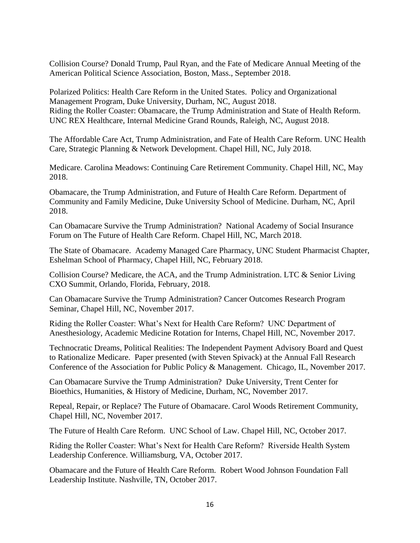Collision Course? Donald Trump, Paul Ryan, and the Fate of Medicare Annual Meeting of the American Political Science Association, Boston, Mass., September 2018.

Polarized Politics: Health Care Reform in the United States. Policy and Organizational Management Program, Duke University, Durham, NC, August 2018. Riding the Roller Coaster: Obamacare, the Trump Administration and State of Health Reform. UNC REX Healthcare, Internal Medicine Grand Rounds, Raleigh, NC, August 2018.

The Affordable Care Act, Trump Administration, and Fate of Health Care Reform. UNC Health Care, Strategic Planning & Network Development. Chapel Hill, NC, July 2018.

Medicare. Carolina Meadows: Continuing Care Retirement Community. Chapel Hill, NC, May 2018.

Obamacare, the Trump Administration, and Future of Health Care Reform. Department of Community and Family Medicine, Duke University School of Medicine. Durham, NC, April 2018.

Can Obamacare Survive the Trump Administration? National Academy of Social Insurance Forum on The Future of Health Care Reform. Chapel Hill, NC, March 2018.

The State of Obamacare. Academy Managed Care Pharmacy, UNC Student Pharmacist Chapter, Eshelman School of Pharmacy, Chapel Hill, NC, February 2018.

Collision Course? Medicare, the ACA, and the Trump Administration. LTC & Senior Living CXO Summit, Orlando, Florida, February, 2018.

Can Obamacare Survive the Trump Administration? Cancer Outcomes Research Program Seminar, Chapel Hill, NC, November 2017.

Riding the Roller Coaster: What's Next for Health Care Reform? UNC Department of Anesthesiology, Academic Medicine Rotation for Interns, Chapel Hill, NC, November 2017.

Technocratic Dreams, Political Realities: The Independent Payment Advisory Board and Quest to Rationalize Medicare. Paper presented (with Steven Spivack) at the Annual Fall Research Conference of the Association for Public Policy & Management. Chicago, IL, November 2017.

Can Obamacare Survive the Trump Administration? Duke University, Trent Center for Bioethics, Humanities, & History of Medicine, Durham, NC, November 2017.

Repeal, Repair, or Replace? The Future of Obamacare. Carol Woods Retirement Community, Chapel Hill, NC, November 2017.

The Future of Health Care Reform. UNC School of Law. Chapel Hill, NC, October 2017.

Riding the Roller Coaster: What's Next for Health Care Reform? Riverside Health System Leadership Conference. Williamsburg, VA, October 2017.

Obamacare and the Future of Health Care Reform. Robert Wood Johnson Foundation Fall Leadership Institute. Nashville, TN, October 2017.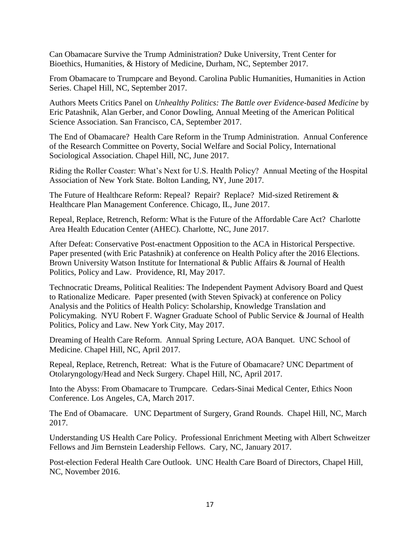Can Obamacare Survive the Trump Administration? Duke University, Trent Center for Bioethics, Humanities, & History of Medicine, Durham, NC, September 2017.

From Obamacare to Trumpcare and Beyond. Carolina Public Humanities, Humanities in Action Series. Chapel Hill, NC, September 2017.

Authors Meets Critics Panel on *Unhealthy Politics: The Battle over Evidence-based Medicine* by Eric Patashnik, Alan Gerber, and Conor Dowling, Annual Meeting of the American Political Science Association. San Francisco, CA, September 2017.

The End of Obamacare? Health Care Reform in the Trump Administration. Annual Conference of the Research Committee on Poverty, Social Welfare and Social Policy, International Sociological Association. Chapel Hill, NC, June 2017.

Riding the Roller Coaster: What's Next for U.S. Health Policy? Annual Meeting of the Hospital Association of New York State. Bolton Landing, NY, June 2017.

The Future of Healthcare Reform: Repeal? Repair? Replace? Mid-sized Retirement & Healthcare Plan Management Conference. Chicago, IL, June 2017.

Repeal, Replace, Retrench, Reform: What is the Future of the Affordable Care Act? Charlotte Area Health Education Center (AHEC). Charlotte, NC, June 2017.

After Defeat: Conservative Post-enactment Opposition to the ACA in Historical Perspective. Paper presented (with Eric Patashnik) at conference on Health Policy after the 2016 Elections. Brown University Watson Institute for International & Public Affairs & Journal of Health Politics, Policy and Law. Providence, RI, May 2017.

Technocratic Dreams, Political Realities: The Independent Payment Advisory Board and Quest to Rationalize Medicare. Paper presented (with Steven Spivack) at conference on Policy Analysis and the Politics of Health Policy: Scholarship, Knowledge Translation and Policymaking. NYU Robert F. Wagner Graduate School of Public Service & Journal of Health Politics, Policy and Law. New York City, May 2017.

Dreaming of Health Care Reform. Annual Spring Lecture, AOA Banquet. UNC School of Medicine. Chapel Hill, NC, April 2017.

Repeal, Replace, Retrench, Retreat: What is the Future of Obamacare? UNC Department of Otolaryngology/Head and Neck Surgery. Chapel Hill, NC, April 2017.

Into the Abyss: From Obamacare to Trumpcare. Cedars-Sinai Medical Center, Ethics Noon Conference. Los Angeles, CA, March 2017.

The End of Obamacare. UNC Department of Surgery, Grand Rounds. Chapel Hill, NC, March 2017.

Understanding US Health Care Policy. Professional Enrichment Meeting with Albert Schweitzer Fellows and Jim Bernstein Leadership Fellows. Cary, NC, January 2017.

Post-election Federal Health Care Outlook. UNC Health Care Board of Directors, Chapel Hill, NC, November 2016.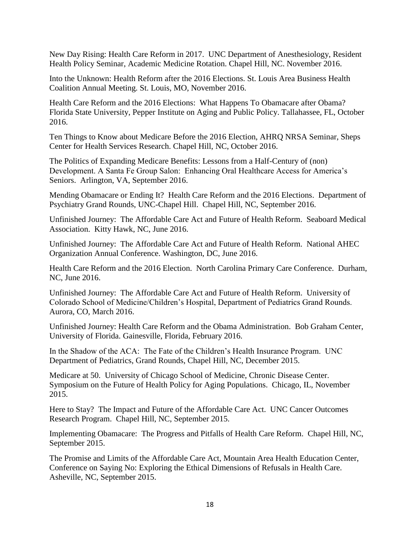New Day Rising: Health Care Reform in 2017. UNC Department of Anesthesiology, Resident Health Policy Seminar, Academic Medicine Rotation. Chapel Hill, NC. November 2016.

Into the Unknown: Health Reform after the 2016 Elections. St. Louis Area Business Health Coalition Annual Meeting. St. Louis, MO, November 2016.

Health Care Reform and the 2016 Elections: What Happens To Obamacare after Obama? Florida State University, Pepper Institute on Aging and Public Policy. Tallahassee, FL, October 2016.

Ten Things to Know about Medicare Before the 2016 Election, AHRQ NRSA Seminar, Sheps Center for Health Services Research. Chapel Hill, NC, October 2016.

The Politics of Expanding Medicare Benefits: Lessons from a Half-Century of (non) Development. A Santa Fe Group Salon: Enhancing Oral Healthcare Access for America's Seniors. Arlington, VA, September 2016.

Mending Obamacare or Ending It? Health Care Reform and the 2016 Elections. Department of Psychiatry Grand Rounds, UNC-Chapel Hill. Chapel Hill, NC, September 2016.

Unfinished Journey: The Affordable Care Act and Future of Health Reform. Seaboard Medical Association. Kitty Hawk, NC, June 2016.

Unfinished Journey: The Affordable Care Act and Future of Health Reform. National AHEC Organization Annual Conference. Washington, DC, June 2016.

Health Care Reform and the 2016 Election. North Carolina Primary Care Conference. Durham, NC, June 2016.

Unfinished Journey: The Affordable Care Act and Future of Health Reform. University of Colorado School of Medicine/Children's Hospital, Department of Pediatrics Grand Rounds. Aurora, CO, March 2016.

Unfinished Journey: Health Care Reform and the Obama Administration. Bob Graham Center, University of Florida. Gainesville, Florida, February 2016.

In the Shadow of the ACA: The Fate of the Children's Health Insurance Program. UNC Department of Pediatrics, Grand Rounds, Chapel Hill, NC, December 2015.

Medicare at 50. University of Chicago School of Medicine, Chronic Disease Center. Symposium on the Future of Health Policy for Aging Populations. Chicago, IL, November 2015.

Here to Stay? The Impact and Future of the Affordable Care Act. UNC Cancer Outcomes Research Program. Chapel Hill, NC, September 2015.

Implementing Obamacare: The Progress and Pitfalls of Health Care Reform. Chapel Hill, NC, September 2015.

The Promise and Limits of the Affordable Care Act, Mountain Area Health Education Center, Conference on Saying No: Exploring the Ethical Dimensions of Refusals in Health Care. Asheville, NC, September 2015.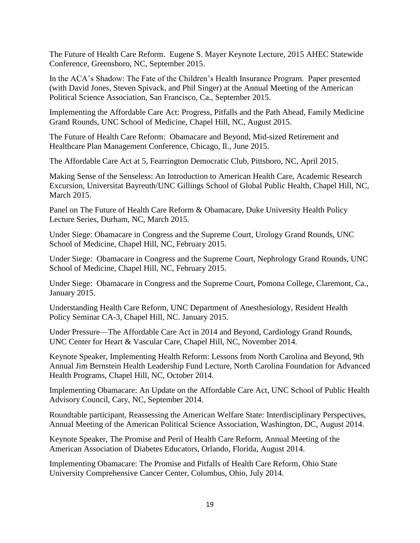The Future of Health Care Reform. Eugene S. Mayer Keynote Lecture, 2015 AHEC Statewide Conference, Greensboro, NC, September 2015.

In the ACA's Shadow: The Fate of the Children's Health Insurance Program. Paper presented (with David Jones, Steven Spivack, and Phil Singer) at the Annual Meeting of the American Political Science Association, San Francisco, Ca., September 2015.

Implementing the Affordable Care Act: Progress, Pitfalls and the Path Ahead, Family Medicine Grand Rounds, UNC School of Medicine, Chapel Hill, NC, August 2015.

The Future of Health Care Reform: Obamacare and Beyond, Mid-sized Retirement and Healthcare Plan Management Conference, Chicago, Il., June 2015.

The Affordable Care Act at 5, Fearrington Democratic Club, Pittsboro, NC, April 2015.

Making Sense of the Senseless: An Introduction to American Health Care, Academic Research Excursion, Universitat Bayreuth/UNC Gillings School of Global Public Health, Chapel Hill, NC, March 2015.

Panel on The Future of Health Care Reform & Obamacare, Duke University Health Policy Lecture Series, Durham, NC, March 2015.

Under Siege: Obamacare in Congress and the Supreme Court, Urology Grand Rounds, UNC School of Medicine, Chapel Hill, NC, February 2015.

Under Siege: Obamacare in Congress and the Supreme Court, Nephrology Grand Rounds, UNC School of Medicine, Chapel Hill, NC, February 2015.

Under Siege: Obamacare in Congress and the Supreme Court, Pomona College, Claremont, Ca., January 2015.

Understanding Health Care Reform, UNC Department of Anesthesiology, Resident Health Policy Seminar CA-3, Chapel Hill, NC. January 2015.

Under Pressure—The Affordable Care Act in 2014 and Beyond, Cardiology Grand Rounds, UNC Center for Heart & Vascular Care, Chapel Hill, NC, November 2014.

Keynote Speaker, Implementing Health Reform: Lessons from North Carolina and Beyond, 9th Annual Jim Bernstein Health Leadership Fund Lecture, North Carolina Foundation for Advanced Health Programs, Chapel Hill, NC, October 2014.

Implementing Obamacare: An Update on the Affordable Care Act, UNC School of Public Health Advisory Council, Cary, NC, September 2014.

Roundtable participant, Reassessing the American Welfare State: Interdisciplinary Perspectives, Annual Meeting of the American Political Science Association, Washington, DC, August 2014.

Keynote Speaker, The Promise and Peril of Health Care Reform, Annual Meeting of the American Association of Diabetes Educators, Orlando, Florida, August 2014.

Implementing Obamacare: The Promise and Pitfalls of Health Care Reform, Ohio State University Comprehensive Cancer Center, Columbus, Ohio, July 2014.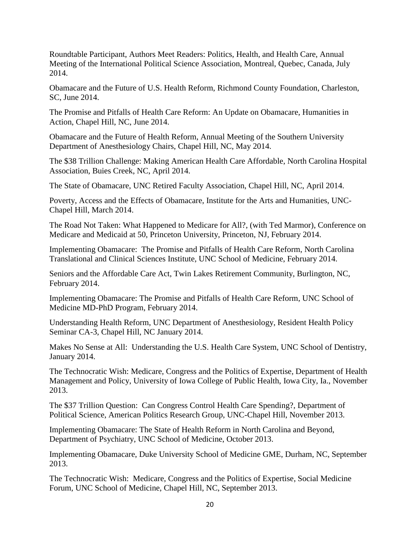Roundtable Participant, Authors Meet Readers: Politics, Health, and Health Care, Annual Meeting of the International Political Science Association, Montreal, Quebec, Canada, July 2014.

Obamacare and the Future of U.S. Health Reform, Richmond County Foundation, Charleston, SC, June 2014.

The Promise and Pitfalls of Health Care Reform: An Update on Obamacare, Humanities in Action, Chapel Hill, NC, June 2014.

Obamacare and the Future of Health Reform, Annual Meeting of the Southern University Department of Anesthesiology Chairs, Chapel Hill, NC, May 2014.

The \$38 Trillion Challenge: Making American Health Care Affordable, North Carolina Hospital Association, Buies Creek, NC, April 2014.

The State of Obamacare, UNC Retired Faculty Association, Chapel Hill, NC, April 2014.

Poverty, Access and the Effects of Obamacare, Institute for the Arts and Humanities, UNC-Chapel Hill, March 2014.

The Road Not Taken: What Happened to Medicare for All?, (with Ted Marmor), Conference on Medicare and Medicaid at 50, Princeton University, Princeton, NJ, February 2014.

Implementing Obamacare: The Promise and Pitfalls of Health Care Reform, North Carolina Translational and Clinical Sciences Institute, UNC School of Medicine, February 2014.

Seniors and the Affordable Care Act, Twin Lakes Retirement Community, Burlington, NC, February 2014.

Implementing Obamacare: The Promise and Pitfalls of Health Care Reform, UNC School of Medicine MD-PhD Program, February 2014.

Understanding Health Reform, UNC Department of Anesthesiology, Resident Health Policy Seminar CA-3, Chapel Hill, NC January 2014.

Makes No Sense at All: Understanding the U.S. Health Care System, UNC School of Dentistry, January 2014.

The Technocratic Wish: Medicare, Congress and the Politics of Expertise, Department of Health Management and Policy, University of Iowa College of Public Health, Iowa City, Ia., November 2013.

The \$37 Trillion Question: Can Congress Control Health Care Spending?, Department of Political Science, American Politics Research Group, UNC-Chapel Hill, November 2013.

Implementing Obamacare: The State of Health Reform in North Carolina and Beyond, Department of Psychiatry, UNC School of Medicine, October 2013.

Implementing Obamacare, Duke University School of Medicine GME, Durham, NC, September 2013.

The Technocratic Wish: Medicare, Congress and the Politics of Expertise, Social Medicine Forum, UNC School of Medicine, Chapel Hill, NC, September 2013.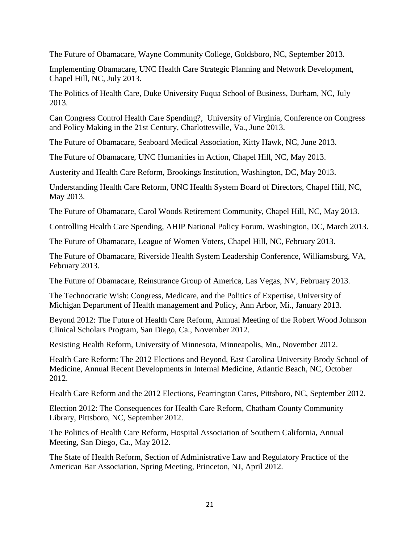The Future of Obamacare, Wayne Community College, Goldsboro, NC, September 2013.

Implementing Obamacare, UNC Health Care Strategic Planning and Network Development, Chapel Hill, NC, July 2013.

The Politics of Health Care, Duke University Fuqua School of Business, Durham, NC, July 2013.

Can Congress Control Health Care Spending?, University of Virginia, Conference on Congress and Policy Making in the 21st Century, Charlottesville, Va., June 2013.

The Future of Obamacare, Seaboard Medical Association, Kitty Hawk, NC, June 2013.

The Future of Obamacare, UNC Humanities in Action, Chapel Hill, NC, May 2013.

Austerity and Health Care Reform, Brookings Institution, Washington, DC, May 2013.

Understanding Health Care Reform, UNC Health System Board of Directors, Chapel Hill, NC, May 2013.

The Future of Obamacare, Carol Woods Retirement Community, Chapel Hill, NC, May 2013.

Controlling Health Care Spending, AHIP National Policy Forum, Washington, DC, March 2013.

The Future of Obamacare, League of Women Voters, Chapel Hill, NC, February 2013.

The Future of Obamacare, Riverside Health System Leadership Conference, Williamsburg, VA, February 2013.

The Future of Obamacare, Reinsurance Group of America, Las Vegas, NV, February 2013.

The Technocratic Wish: Congress, Medicare, and the Politics of Expertise, University of Michigan Department of Health management and Policy, Ann Arbor, Mi., January 2013.

Beyond 2012: The Future of Health Care Reform, Annual Meeting of the Robert Wood Johnson Clinical Scholars Program, San Diego, Ca., November 2012.

Resisting Health Reform, University of Minnesota, Minneapolis, Mn., November 2012.

Health Care Reform: The 2012 Elections and Beyond, East Carolina University Brody School of Medicine, Annual Recent Developments in Internal Medicine, Atlantic Beach, NC, October 2012.

Health Care Reform and the 2012 Elections, Fearrington Cares, Pittsboro, NC, September 2012.

Election 2012: The Consequences for Health Care Reform, Chatham County Community Library, Pittsboro, NC, September 2012.

The Politics of Health Care Reform, Hospital Association of Southern California, Annual Meeting, San Diego, Ca., May 2012.

The State of Health Reform, Section of Administrative Law and Regulatory Practice of the American Bar Association, Spring Meeting, Princeton, NJ, April 2012.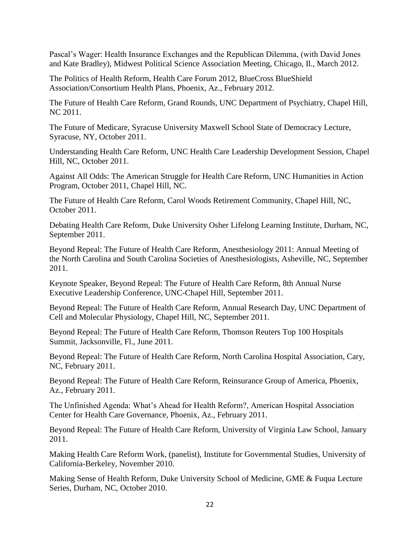Pascal's Wager: Health Insurance Exchanges and the Republican Dilemma, (with David Jones and Kate Bradley), Midwest Political Science Association Meeting, Chicago, Il., March 2012.

The Politics of Health Reform, Health Care Forum 2012, BlueCross BlueShield Association/Consortium Health Plans, Phoenix, Az., February 2012.

The Future of Health Care Reform, Grand Rounds, UNC Department of Psychiatry, Chapel Hill, NC 2011.

The Future of Medicare, Syracuse University Maxwell School State of Democracy Lecture, Syracuse, NY, October 2011.

Understanding Health Care Reform, UNC Health Care Leadership Development Session, Chapel Hill, NC, October 2011.

Against All Odds: The American Struggle for Health Care Reform, UNC Humanities in Action Program, October 2011, Chapel Hill, NC.

The Future of Health Care Reform, Carol Woods Retirement Community, Chapel Hill, NC, October 2011.

Debating Health Care Reform, Duke University Osher Lifelong Learning Institute, Durham, NC, September 2011.

Beyond Repeal: The Future of Health Care Reform, Anesthesiology 2011: Annual Meeting of the North Carolina and South Carolina Societies of Anesthesiologists, Asheville, NC, September 2011.

Keynote Speaker, Beyond Repeal: The Future of Health Care Reform, 8th Annual Nurse Executive Leadership Conference, UNC-Chapel Hill, September 2011.

Beyond Repeal: The Future of Health Care Reform, Annual Research Day, UNC Department of Cell and Molecular Physiology, Chapel Hill, NC, September 2011.

Beyond Repeal: The Future of Health Care Reform, Thomson Reuters Top 100 Hospitals Summit, Jacksonville, Fl., June 2011.

Beyond Repeal: The Future of Health Care Reform, North Carolina Hospital Association, Cary, NC, February 2011.

Beyond Repeal: The Future of Health Care Reform, Reinsurance Group of America, Phoenix, Az., February 2011.

The Unfinished Agenda: What's Ahead for Health Reform?, American Hospital Association Center for Health Care Governance, Phoenix, Az., February 2011.

Beyond Repeal: The Future of Health Care Reform, University of Virginia Law School, January 2011.

Making Health Care Reform Work, (panelist), Institute for Governmental Studies, University of California-Berkeley, November 2010.

Making Sense of Health Reform, Duke University School of Medicine, GME & Fuqua Lecture Series, Durham, NC, October 2010.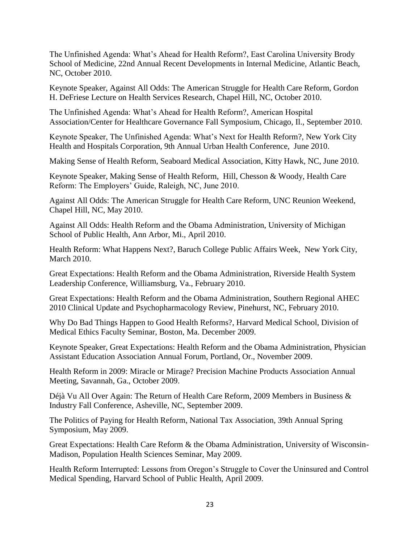The Unfinished Agenda: What's Ahead for Health Reform?, East Carolina University Brody School of Medicine, 22nd Annual Recent Developments in Internal Medicine, Atlantic Beach, NC, October 2010.

Keynote Speaker, Against All Odds: The American Struggle for Health Care Reform, Gordon H. DeFriese Lecture on Health Services Research, Chapel Hill, NC, October 2010.

The Unfinished Agenda: What's Ahead for Health Reform?, American Hospital Association/Center for Healthcare Governance Fall Symposium, Chicago, Il., September 2010.

Keynote Speaker, The Unfinished Agenda: What's Next for Health Reform?, New York City Health and Hospitals Corporation, 9th Annual Urban Health Conference, June 2010.

Making Sense of Health Reform, Seaboard Medical Association, Kitty Hawk, NC, June 2010.

Keynote Speaker, Making Sense of Health Reform, Hill, Chesson & Woody, Health Care Reform: The Employers' Guide, Raleigh, NC, June 2010.

Against All Odds: The American Struggle for Health Care Reform, UNC Reunion Weekend, Chapel Hill, NC, May 2010.

Against All Odds: Health Reform and the Obama Administration, University of Michigan School of Public Health, Ann Arbor, Mi., April 2010.

Health Reform: What Happens Next?, Baruch College Public Affairs Week, New York City, March 2010.

Great Expectations: Health Reform and the Obama Administration, Riverside Health System Leadership Conference, Williamsburg, Va., February 2010.

Great Expectations: Health Reform and the Obama Administration, Southern Regional AHEC 2010 Clinical Update and Psychopharmacology Review, Pinehurst, NC, February 2010.

Why Do Bad Things Happen to Good Health Reforms?, Harvard Medical School, Division of Medical Ethics Faculty Seminar, Boston, Ma. December 2009.

Keynote Speaker, Great Expectations: Health Reform and the Obama Administration, Physician Assistant Education Association Annual Forum, Portland, Or., November 2009.

Health Reform in 2009: Miracle or Mirage? Precision Machine Products Association Annual Meeting, Savannah, Ga., October 2009.

Déjà Vu All Over Again: The Return of Health Care Reform, 2009 Members in Business & Industry Fall Conference, Asheville, NC, September 2009.

The Politics of Paying for Health Reform, National Tax Association, 39th Annual Spring Symposium, May 2009.

Great Expectations: Health Care Reform & the Obama Administration, University of Wisconsin-Madison, Population Health Sciences Seminar, May 2009.

Health Reform Interrupted: Lessons from Oregon's Struggle to Cover the Uninsured and Control Medical Spending, Harvard School of Public Health, April 2009.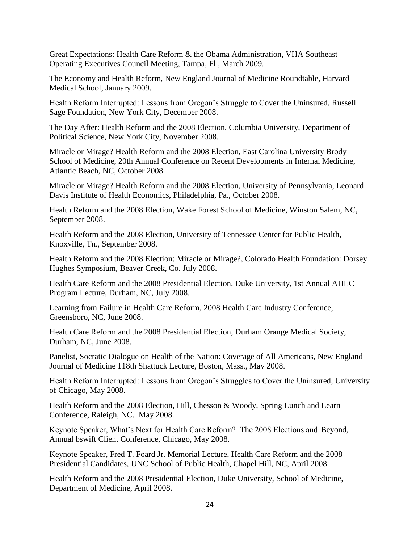Great Expectations: Health Care Reform & the Obama Administration, VHA Southeast Operating Executives Council Meeting, Tampa, Fl., March 2009.

The Economy and Health Reform, New England Journal of Medicine Roundtable, Harvard Medical School, January 2009.

Health Reform Interrupted: Lessons from Oregon's Struggle to Cover the Uninsured, Russell Sage Foundation, New York City, December 2008.

The Day After: Health Reform and the 2008 Election, Columbia University, Department of Political Science, New York City, November 2008.

Miracle or Mirage? Health Reform and the 2008 Election, East Carolina University Brody School of Medicine, 20th Annual Conference on Recent Developments in Internal Medicine, Atlantic Beach, NC, October 2008.

Miracle or Mirage? Health Reform and the 2008 Election, University of Pennsylvania, Leonard Davis Institute of Health Economics, Philadelphia, Pa., October 2008.

Health Reform and the 2008 Election, Wake Forest School of Medicine, Winston Salem, NC, September 2008.

Health Reform and the 2008 Election, University of Tennessee Center for Public Health, Knoxville, Tn., September 2008.

Health Reform and the 2008 Election: Miracle or Mirage?, Colorado Health Foundation: Dorsey Hughes Symposium, Beaver Creek, Co. July 2008.

Health Care Reform and the 2008 Presidential Election, Duke University, 1st Annual AHEC Program Lecture, Durham, NC, July 2008.

Learning from Failure in Health Care Reform, 2008 Health Care Industry Conference, Greensboro, NC, June 2008.

Health Care Reform and the 2008 Presidential Election, Durham Orange Medical Society, Durham, NC, June 2008.

Panelist, Socratic Dialogue on Health of the Nation: Coverage of All Americans, New England Journal of Medicine 118th Shattuck Lecture, Boston, Mass., May 2008.

Health Reform Interrupted: Lessons from Oregon's Struggles to Cover the Uninsured, University of Chicago, May 2008.

Health Reform and the 2008 Election, Hill, Chesson & Woody, Spring Lunch and Learn Conference, Raleigh, NC. May 2008.

Keynote Speaker, What's Next for Health Care Reform? The 2008 Elections and Beyond, Annual bswift Client Conference, Chicago, May 2008.

Keynote Speaker, Fred T. Foard Jr. Memorial Lecture, Health Care Reform and the 2008 Presidential Candidates, UNC School of Public Health, Chapel Hill, NC, April 2008.

Health Reform and the 2008 Presidential Election, Duke University, School of Medicine, Department of Medicine, April 2008.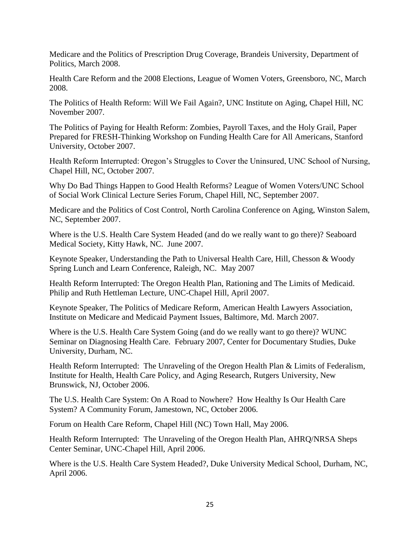Medicare and the Politics of Prescription Drug Coverage, Brandeis University, Department of Politics, March 2008.

Health Care Reform and the 2008 Elections, League of Women Voters, Greensboro, NC, March 2008.

The Politics of Health Reform: Will We Fail Again?, UNC Institute on Aging, Chapel Hill, NC November 2007.

The Politics of Paying for Health Reform: Zombies, Payroll Taxes, and the Holy Grail, Paper Prepared for FRESH-Thinking Workshop on Funding Health Care for All Americans, Stanford University, October 2007.

Health Reform Interrupted: Oregon's Struggles to Cover the Uninsured, UNC School of Nursing, Chapel Hill, NC, October 2007.

Why Do Bad Things Happen to Good Health Reforms? League of Women Voters/UNC School of Social Work Clinical Lecture Series Forum, Chapel Hill, NC, September 2007.

Medicare and the Politics of Cost Control, North Carolina Conference on Aging, Winston Salem, NC, September 2007.

Where is the U.S. Health Care System Headed (and do we really want to go there)? Seaboard Medical Society, Kitty Hawk, NC. June 2007.

Keynote Speaker, Understanding the Path to Universal Health Care, Hill, Chesson & Woody Spring Lunch and Learn Conference, Raleigh, NC. May 2007

Health Reform Interrupted: The Oregon Health Plan, Rationing and The Limits of Medicaid. Philip and Ruth Hettleman Lecture, UNC-Chapel Hill, April 2007.

Keynote Speaker, The Politics of Medicare Reform, American Health Lawyers Association, Institute on Medicare and Medicaid Payment Issues, Baltimore, Md. March 2007.

Where is the U.S. Health Care System Going (and do we really want to go there)? WUNC Seminar on Diagnosing Health Care. February 2007, Center for Documentary Studies, Duke University, Durham, NC.

Health Reform Interrupted: The Unraveling of the Oregon Health Plan & Limits of Federalism, Institute for Health, Health Care Policy, and Aging Research, Rutgers University, New Brunswick, NJ, October 2006.

The U.S. Health Care System: On A Road to Nowhere? How Healthy Is Our Health Care System? A Community Forum, Jamestown, NC, October 2006.

Forum on Health Care Reform, Chapel Hill (NC) Town Hall, May 2006.

Health Reform Interrupted: The Unraveling of the Oregon Health Plan, AHRQ/NRSA Sheps Center Seminar, UNC-Chapel Hill, April 2006.

Where is the U.S. Health Care System Headed?, Duke University Medical School, Durham, NC, April 2006.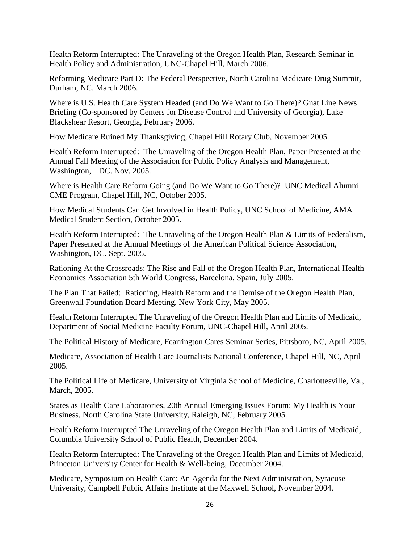Health Reform Interrupted: The Unraveling of the Oregon Health Plan, Research Seminar in Health Policy and Administration, UNC-Chapel Hill, March 2006.

Reforming Medicare Part D: The Federal Perspective, North Carolina Medicare Drug Summit, Durham, NC. March 2006.

Where is U.S. Health Care System Headed (and Do We Want to Go There)? Gnat Line News Briefing (Co-sponsored by Centers for Disease Control and University of Georgia), Lake Blackshear Resort, Georgia, February 2006.

How Medicare Ruined My Thanksgiving, Chapel Hill Rotary Club, November 2005.

Health Reform Interrupted: The Unraveling of the Oregon Health Plan, Paper Presented at the Annual Fall Meeting of the Association for Public Policy Analysis and Management, Washington, DC. Nov. 2005.

Where is Health Care Reform Going (and Do We Want to Go There)? UNC Medical Alumni CME Program, Chapel Hill, NC, October 2005.

How Medical Students Can Get Involved in Health Policy, UNC School of Medicine, AMA Medical Student Section, October 2005.

Health Reform Interrupted: The Unraveling of the Oregon Health Plan & Limits of Federalism, Paper Presented at the Annual Meetings of the American Political Science Association, Washington, DC. Sept. 2005.

Rationing At the Crossroads: The Rise and Fall of the Oregon Health Plan, International Health Economics Association 5th World Congress, Barcelona, Spain, July 2005.

The Plan That Failed: Rationing, Health Reform and the Demise of the Oregon Health Plan, Greenwall Foundation Board Meeting, New York City, May 2005.

Health Reform Interrupted The Unraveling of the Oregon Health Plan and Limits of Medicaid, Department of Social Medicine Faculty Forum, UNC-Chapel Hill, April 2005.

The Political History of Medicare, Fearrington Cares Seminar Series, Pittsboro, NC, April 2005.

Medicare, Association of Health Care Journalists National Conference, Chapel Hill, NC, April 2005.

The Political Life of Medicare, University of Virginia School of Medicine, Charlottesville, Va., March, 2005.

States as Health Care Laboratories, 20th Annual Emerging Issues Forum: My Health is Your Business, North Carolina State University, Raleigh, NC, February 2005.

Health Reform Interrupted The Unraveling of the Oregon Health Plan and Limits of Medicaid, Columbia University School of Public Health, December 2004.

Health Reform Interrupted: The Unraveling of the Oregon Health Plan and Limits of Medicaid, Princeton University Center for Health & Well-being, December 2004.

Medicare, Symposium on Health Care: An Agenda for the Next Administration, Syracuse University, Campbell Public Affairs Institute at the Maxwell School, November 2004.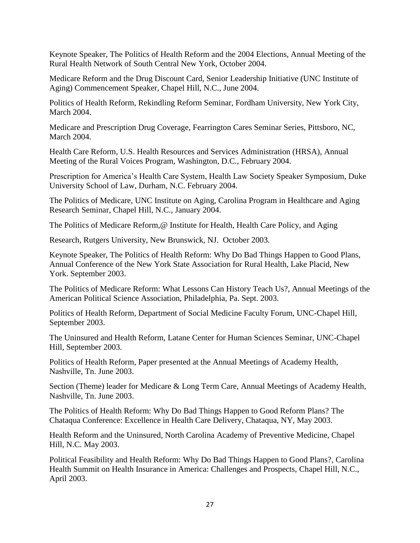Keynote Speaker, The Politics of Health Reform and the 2004 Elections, Annual Meeting of the Rural Health Network of South Central New York, October 2004.

Medicare Reform and the Drug Discount Card, Senior Leadership Initiative (UNC Institute of Aging) Commencement Speaker, Chapel Hill, N.C., June 2004.

Politics of Health Reform, Rekindling Reform Seminar, Fordham University, New York City, March 2004.

Medicare and Prescription Drug Coverage, Fearrington Cares Seminar Series, Pittsboro, NC, March 2004.

Health Care Reform, U.S. Health Resources and Services Administration (HRSA), Annual Meeting of the Rural Voices Program, Washington, D.C., February 2004.

Prescription for America's Health Care System, Health Law Society Speaker Symposium, Duke University School of Law, Durham, N.C. February 2004.

The Politics of Medicare, UNC Institute on Aging, Carolina Program in Healthcare and Aging Research Seminar, Chapel Hill, N.C., January 2004.

The Politics of Medicare Reform, @ Institute for Health, Health Care Policy, and Aging

Research, Rutgers University, New Brunswick, NJ. October 2003.

Keynote Speaker, The Politics of Health Reform: Why Do Bad Things Happen to Good Plans, Annual Conference of the New York State Association for Rural Health, Lake Placid, New York. September 2003.

The Politics of Medicare Reform: What Lessons Can History Teach Us?, Annual Meetings of the American Political Science Association, Philadelphia, Pa. Sept. 2003.

Politics of Health Reform, Department of Social Medicine Faculty Forum, UNC-Chapel Hill, September 2003.

The Uninsured and Health Reform, Latane Center for Human Sciences Seminar, UNC-Chapel Hill, September 2003.

Politics of Health Reform, Paper presented at the Annual Meetings of Academy Health, Nashville, Tn. June 2003.

Section (Theme) leader for Medicare & Long Term Care, Annual Meetings of Academy Health, Nashville, Tn. June 2003.

The Politics of Health Reform: Why Do Bad Things Happen to Good Reform Plans? The Chataqua Conference: Excellence in Health Care Delivery, Chataqua, NY, May 2003.

Health Reform and the Uninsured, North Carolina Academy of Preventive Medicine, Chapel Hill, N.C. May 2003.

Political Feasibility and Health Reform: Why Do Bad Things Happen to Good Plans?, Carolina Health Summit on Health Insurance in America: Challenges and Prospects, Chapel Hill, N.C., April 2003.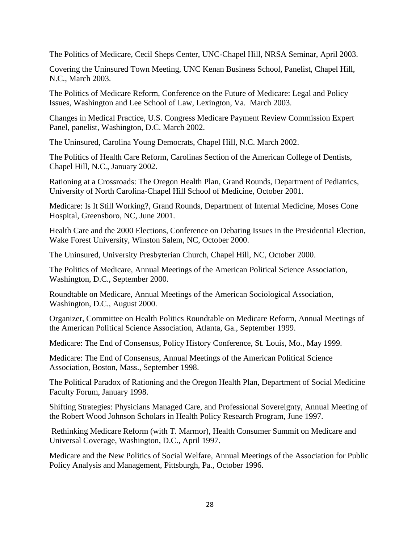The Politics of Medicare, Cecil Sheps Center, UNC-Chapel Hill, NRSA Seminar, April 2003.

Covering the Uninsured Town Meeting, UNC Kenan Business School, Panelist, Chapel Hill, N.C., March 2003.

The Politics of Medicare Reform, Conference on the Future of Medicare: Legal and Policy Issues, Washington and Lee School of Law, Lexington, Va. March 2003.

Changes in Medical Practice, U.S. Congress Medicare Payment Review Commission Expert Panel, panelist, Washington, D.C. March 2002.

The Uninsured, Carolina Young Democrats, Chapel Hill, N.C. March 2002.

The Politics of Health Care Reform, Carolinas Section of the American College of Dentists, Chapel Hill, N.C., January 2002.

Rationing at a Crossroads: The Oregon Health Plan, Grand Rounds, Department of Pediatrics, University of North Carolina-Chapel Hill School of Medicine, October 2001.

Medicare: Is It Still Working?, Grand Rounds, Department of Internal Medicine, Moses Cone Hospital, Greensboro, NC, June 2001.

Health Care and the 2000 Elections, Conference on Debating Issues in the Presidential Election, Wake Forest University, Winston Salem, NC, October 2000.

The Uninsured, University Presbyterian Church, Chapel Hill, NC, October 2000.

The Politics of Medicare, Annual Meetings of the American Political Science Association, Washington, D.C., September 2000.

Roundtable on Medicare, Annual Meetings of the American Sociological Association, Washington, D.C., August 2000.

Organizer, Committee on Health Politics Roundtable on Medicare Reform, Annual Meetings of the American Political Science Association, Atlanta, Ga., September 1999.

Medicare: The End of Consensus, Policy History Conference, St. Louis, Mo., May 1999.

Medicare: The End of Consensus, Annual Meetings of the American Political Science Association, Boston, Mass., September 1998.

The Political Paradox of Rationing and the Oregon Health Plan, Department of Social Medicine Faculty Forum, January 1998.

Shifting Strategies: Physicians Managed Care, and Professional Sovereignty, Annual Meeting of the Robert Wood Johnson Scholars in Health Policy Research Program, June 1997.

Rethinking Medicare Reform (with T. Marmor), Health Consumer Summit on Medicare and Universal Coverage, Washington, D.C., April 1997.

Medicare and the New Politics of Social Welfare, Annual Meetings of the Association for Public Policy Analysis and Management, Pittsburgh, Pa., October 1996.